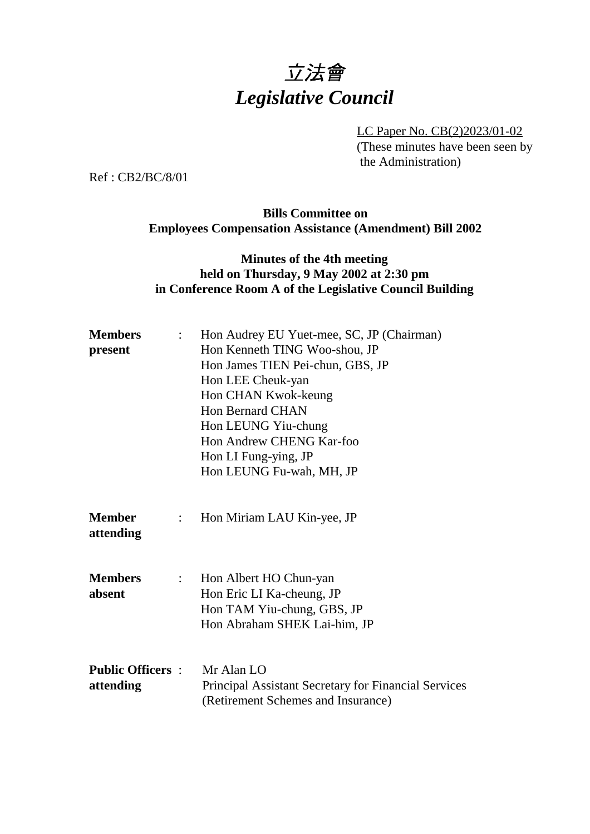# 立法會 *Legislative Council*

LC Paper No. CB(2)2023/01-02 (These minutes have been seen by the Administration)

Ref : CB2/BC/8/01

#### **Bills Committee on Employees Compensation Assistance (Amendment) Bill 2002**

#### **Minutes of the 4th meeting held on Thursday, 9 May 2002 at 2:30 pm in Conference Room A of the Legislative Council Building**

| <b>Members</b><br>present            | $\mathbb{R}^{\mathbb{Z}}$ | Hon Audrey EU Yuet-mee, SC, JP (Chairman)<br>Hon Kenneth TING Woo-shou, JP<br>Hon James TIEN Pei-chun, GBS, JP<br>Hon LEE Cheuk-yan<br>Hon CHAN Kwok-keung<br><b>Hon Bernard CHAN</b><br>Hon LEUNG Yiu-chung |
|--------------------------------------|---------------------------|--------------------------------------------------------------------------------------------------------------------------------------------------------------------------------------------------------------|
|                                      |                           | Hon Andrew CHENG Kar-foo<br>Hon LI Fung-ying, JP<br>Hon LEUNG Fu-wah, MH, JP                                                                                                                                 |
| <b>Member</b><br>attending           | $\mathbb{R}^{\mathbb{Z}}$ | Hon Miriam LAU Kin-yee, JP                                                                                                                                                                                   |
| <b>Members</b><br>absent             | $\mathcal{L}$             | Hon Albert HO Chun-yan<br>Hon Eric LI Ka-cheung, JP<br>Hon TAM Yiu-chung, GBS, JP<br>Hon Abraham SHEK Lai-him, JP                                                                                            |
| <b>Public Officers:</b><br>attending |                           | Mr Alan LO<br><b>Principal Assistant Secretary for Financial Services</b><br>(Retirement Schemes and Insurance)                                                                                              |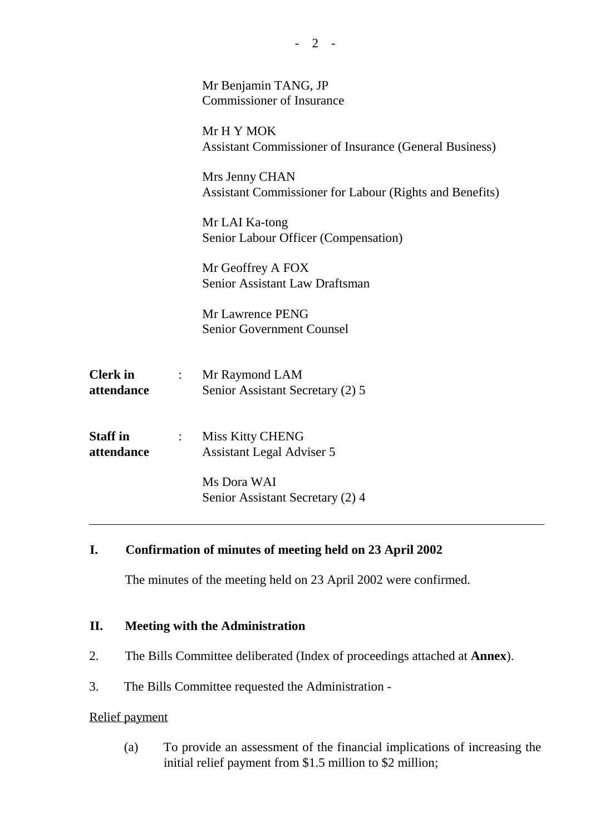|                               |                                    | Mr Benjamin TANG, JP<br><b>Commissioner of Insurance</b>                    |
|-------------------------------|------------------------------------|-----------------------------------------------------------------------------|
|                               |                                    | Mr H Y MOK<br><b>Assistant Commissioner of Insurance (General Business)</b> |
|                               |                                    | Mrs Jenny CHAN<br>Assistant Commissioner for Labour (Rights and Benefits)   |
|                               |                                    | Mr LAI Ka-tong<br>Senior Labour Officer (Compensation)                      |
|                               |                                    | Mr Geoffrey A FOX<br>Senior Assistant Law Draftsman                         |
|                               |                                    | Mr Lawrence PENG<br><b>Senior Government Counsel</b>                        |
| <b>Clerk</b> in<br>attendance | $\mathbb{R}^{\mathbb{Z}^{\times}}$ | Mr Raymond LAM<br>Senior Assistant Secretary (2) 5                          |
| <b>Staff</b> in<br>attendance | $\mathbb{R}^{\mathbb{Z}^{\times}}$ | <b>Miss Kitty CHENG</b><br><b>Assistant Legal Adviser 5</b>                 |
|                               |                                    | Ms Dora WAI<br>Senior Assistant Secretary (2) 4                             |
|                               |                                    |                                                                             |

#### **I. Confirmation of minutes of meeting held on 23 April 2002**

The minutes of the meeting held on 23 April 2002 were confirmed.

#### **II. Meeting with the Administration**

- 2. The Bills Committee deliberated (Index of proceedings attached at **Annex**).
- 3. The Bills Committee requested the Administration -

#### Relief payment

(a) To provide an assessment of the financial implications of increasing the initial relief payment from \$1.5 million to \$2 million;

- 2 -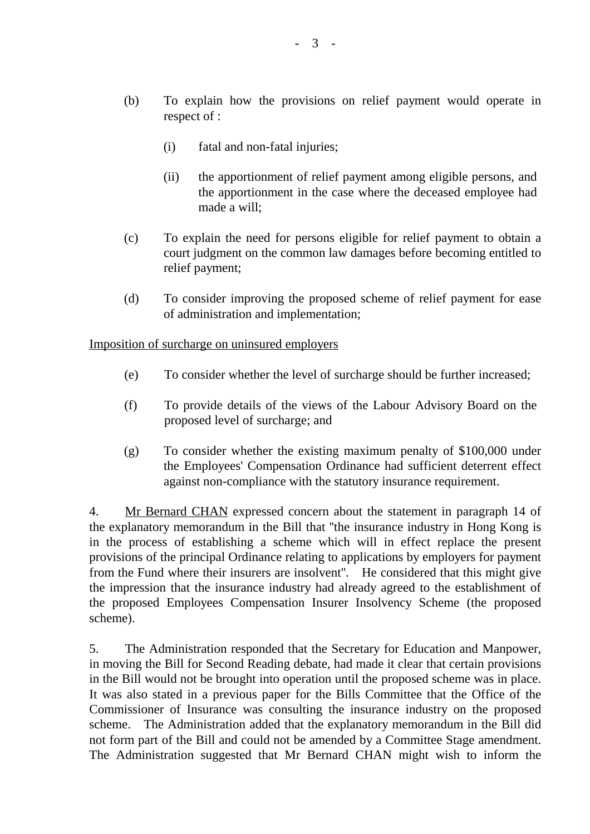- (i) fatal and non-fatal injuries;
- (ii) the apportionment of relief payment among eligible persons, and the apportionment in the case where the deceased employee had made a will;
- (c) To explain the need for persons eligible for relief payment to obtain a court judgment on the common law damages before becoming entitled to relief payment;
- (d) To consider improving the proposed scheme of relief payment for ease of administration and implementation;

Imposition of surcharge on uninsured employers

- (e) To consider whether the level of surcharge should be further increased;
- (f) To provide details of the views of the Labour Advisory Board on the proposed level of surcharge; and
- (g) To consider whether the existing maximum penalty of \$100,000 under the Employees' Compensation Ordinance had sufficient deterrent effect against non-compliance with the statutory insurance requirement.

4. Mr Bernard CHAN expressed concern about the statement in paragraph 14 of the explanatory memorandum in the Bill that ''the insurance industry in Hong Kong is in the process of establishing a scheme which will in effect replace the present provisions of the principal Ordinance relating to applications by employers for payment from the Fund where their insurers are insolvent''. He considered that this might give the impression that the insurance industry had already agreed to the establishment of the proposed Employees Compensation Insurer Insolvency Scheme (the proposed scheme).

5. The Administration responded that the Secretary for Education and Manpower, in moving the Bill for Second Reading debate, had made it clear that certain provisions in the Bill would not be brought into operation until the proposed scheme was in place. It was also stated in a previous paper for the Bills Committee that the Office of the Commissioner of Insurance was consulting the insurance industry on the proposed scheme. The Administration added that the explanatory memorandum in the Bill did not form part of the Bill and could not be amended by a Committee Stage amendment. The Administration suggested that Mr Bernard CHAN might wish to inform the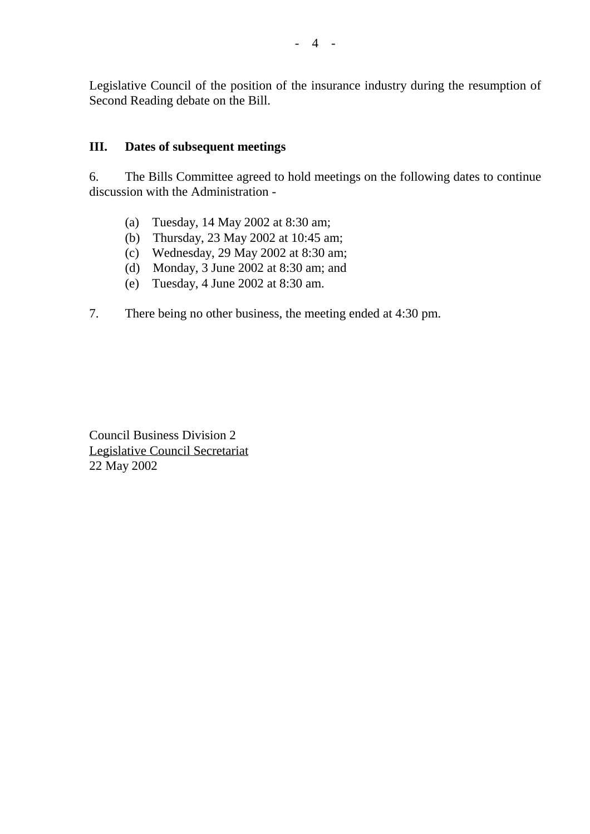Legislative Council of the position of the insurance industry during the resumption of Second Reading debate on the Bill.

#### **III. Dates of subsequent meetings**

6. The Bills Committee agreed to hold meetings on the following dates to continue discussion with the Administration -

- (a) Tuesday, 14 May 2002 at 8:30 am;
- (b) Thursday, 23 May 2002 at 10:45 am;
- (c) Wednesday, 29 May 2002 at 8:30 am;
- (d) Monday, 3 June 2002 at 8:30 am; and
- (e) Tuesday, 4 June 2002 at 8:30 am.
- 7. There being no other business, the meeting ended at 4:30 pm.

Council Business Division 2 Legislative Council Secretariat 22 May 2002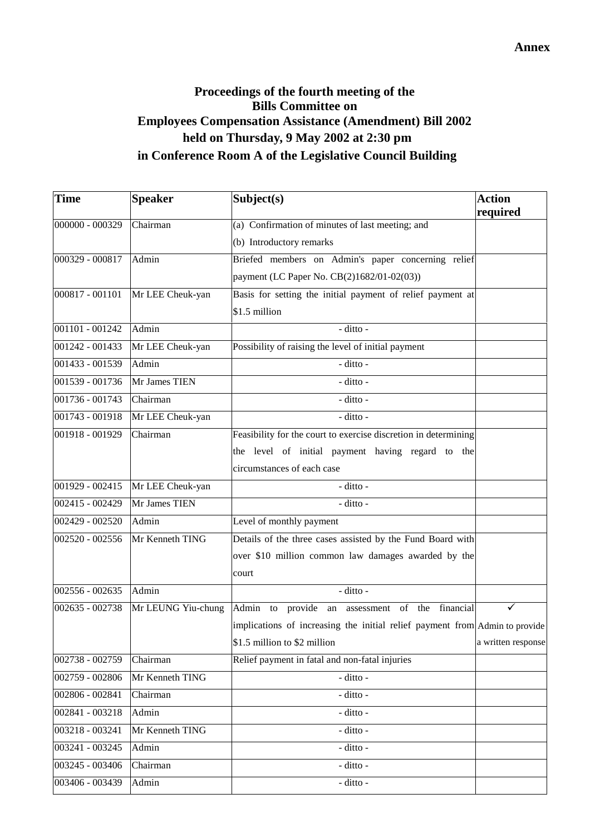### **Proceedings of the fourth meeting of the Bills Committee on Employees Compensation Assistance (Amendment) Bill 2002 held on Thursday, 9 May 2002 at 2:30 pm in Conference Room A of the Legislative Council Building**

| <b>Time</b>       | <b>Speaker</b>     | Subject(s)                                                                  | <b>Action</b>      |
|-------------------|--------------------|-----------------------------------------------------------------------------|--------------------|
|                   |                    |                                                                             | required           |
| 000000 - 000329   | Chairman           | (a) Confirmation of minutes of last meeting; and                            |                    |
|                   |                    | (b) Introductory remarks                                                    |                    |
| 000329 - 000817   | Admin              | Briefed members on Admin's paper concerning relief                          |                    |
|                   |                    | payment (LC Paper No. CB(2)1682/01-02(03))                                  |                    |
| 000817 - 001101   | Mr LEE Cheuk-yan   | Basis for setting the initial payment of relief payment at                  |                    |
|                   |                    | \$1.5 million                                                               |                    |
| 001101 - 001242   | Admin              | - ditto -                                                                   |                    |
| $001242 - 001433$ | Mr LEE Cheuk-yan   | Possibility of raising the level of initial payment                         |                    |
| 001433 - 001539   | Admin              | - ditto -                                                                   |                    |
| 001539 - 001736   | Mr James TIEN      | - ditto -                                                                   |                    |
| 001736 - 001743   | Chairman           | - ditto -                                                                   |                    |
| 001743 - 001918   | Mr LEE Cheuk-yan   | - ditto -                                                                   |                    |
| 001918 - 001929   | Chairman           | Feasibility for the court to exercise discretion in determining             |                    |
|                   |                    | the level of initial payment having regard to the                           |                    |
|                   |                    | circumstances of each case                                                  |                    |
| 001929 - 002415   | Mr LEE Cheuk-yan   | - ditto -                                                                   |                    |
| 002415 - 002429   | Mr James TIEN      | - ditto -                                                                   |                    |
| 002429 - 002520   | Admin              | Level of monthly payment                                                    |                    |
| 002520 - 002556   | Mr Kenneth TING    | Details of the three cases assisted by the Fund Board with                  |                    |
|                   |                    | over \$10 million common law damages awarded by the                         |                    |
|                   |                    | court                                                                       |                    |
| 002556 - 002635   | Admin              | - ditto -                                                                   |                    |
| 002635 - 002738   | Mr LEUNG Yiu-chung | Admin to provide an assessment of the financial                             |                    |
|                   |                    | implications of increasing the initial relief payment from Admin to provide |                    |
|                   |                    | \$1.5 million to \$2 million                                                | a written response |
| 002738 - 002759   | Chairman           | Relief payment in fatal and non-fatal injuries                              |                    |
| 002759 - 002806   | Mr Kenneth TING    | - ditto -                                                                   |                    |
| 002806 - 002841   | Chairman           | - ditto -                                                                   |                    |
| 002841 - 003218   | Admin              | - ditto -                                                                   |                    |
| 003218 - 003241   | Mr Kenneth TING    | - ditto -                                                                   |                    |
| 003241 - 003245   | Admin              | - ditto -                                                                   |                    |
| 003245 - 003406   | Chairman           | $\overline{-\mathrm{d}t}$ tto -                                             |                    |
| 003406 - 003439   | Admin              | - ditto -                                                                   |                    |
|                   |                    |                                                                             |                    |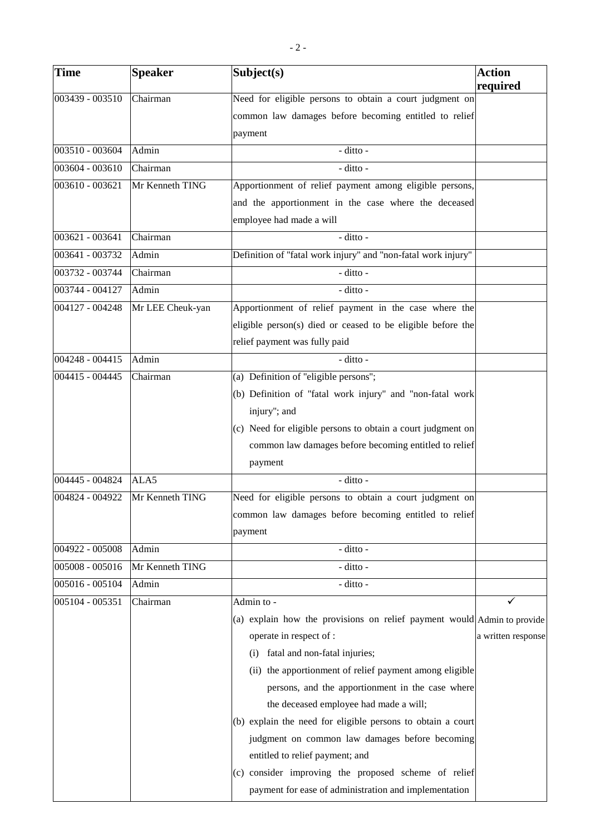| <b>Time</b>       | <b>Speaker</b>   | Subject(s)                                                              | <b>Action</b><br>required |
|-------------------|------------------|-------------------------------------------------------------------------|---------------------------|
| 003439 - 003510   | Chairman         | Need for eligible persons to obtain a court judgment on                 |                           |
|                   |                  | common law damages before becoming entitled to relief                   |                           |
|                   |                  | payment                                                                 |                           |
| 003510 - 003604   | Admin            | - ditto -                                                               |                           |
| 003604 - 003610   | Chairman         | - ditto -                                                               |                           |
| 003610 - 003621   | Mr Kenneth TING  | Apportionment of relief payment among eligible persons,                 |                           |
|                   |                  | and the apportionment in the case where the deceased                    |                           |
|                   |                  | employee had made a will                                                |                           |
| $003621 - 003641$ | Chairman         | $-$ ditto $-$                                                           |                           |
| 003641 - 003732   | Admin            | Definition of "fatal work injury" and "non-fatal work injury"           |                           |
| 003732 - 003744   | Chairman         | - ditto -                                                               |                           |
| 003744 - 004127   | Admin            | - ditto -                                                               |                           |
| 004127 - 004248   | Mr LEE Cheuk-yan | Apportionment of relief payment in the case where the                   |                           |
|                   |                  | eligible person(s) died or ceased to be eligible before the             |                           |
|                   |                  | relief payment was fully paid                                           |                           |
| 004248 - 004415   | Admin            | - ditto -                                                               |                           |
| 004415 - 004445   | Chairman         | (a) Definition of "eligible persons";                                   |                           |
|                   |                  | (b) Definition of "fatal work injury" and "non-fatal work               |                           |
|                   |                  | injury"; and                                                            |                           |
|                   |                  | (c) Need for eligible persons to obtain a court judgment on             |                           |
|                   |                  | common law damages before becoming entitled to relief                   |                           |
|                   |                  | payment                                                                 |                           |
| 004445 - 004824   | ALA5             | - ditto -                                                               |                           |
| 004824 - 004922   | Mr Kenneth TING  | Need for eligible persons to obtain a court judgment on                 |                           |
|                   |                  | common law damages before becoming entitled to relief                   |                           |
|                   |                  | payment                                                                 |                           |
| 004922 - 005008   | Admin            | - ditto -                                                               |                           |
| 005008 - 005016   | Mr Kenneth TING  | - ditto -                                                               |                           |
| 005016 - 005104   | Admin            | - ditto -                                                               |                           |
| 005104 - 005351   | Chairman         | Admin to -                                                              |                           |
|                   |                  | (a) explain how the provisions on relief payment would Admin to provide |                           |
|                   |                  | operate in respect of :                                                 | a written response        |
|                   |                  | fatal and non-fatal injuries;<br>(i)                                    |                           |
|                   |                  | (ii) the apportionment of relief payment among eligible                 |                           |
|                   |                  | persons, and the apportionment in the case where                        |                           |
|                   |                  | the deceased employee had made a will;                                  |                           |
|                   |                  | (b) explain the need for eligible persons to obtain a court             |                           |
|                   |                  | judgment on common law damages before becoming                          |                           |
|                   |                  | entitled to relief payment; and                                         |                           |
|                   |                  | (c) consider improving the proposed scheme of relief                    |                           |
|                   |                  | payment for ease of administration and implementation                   |                           |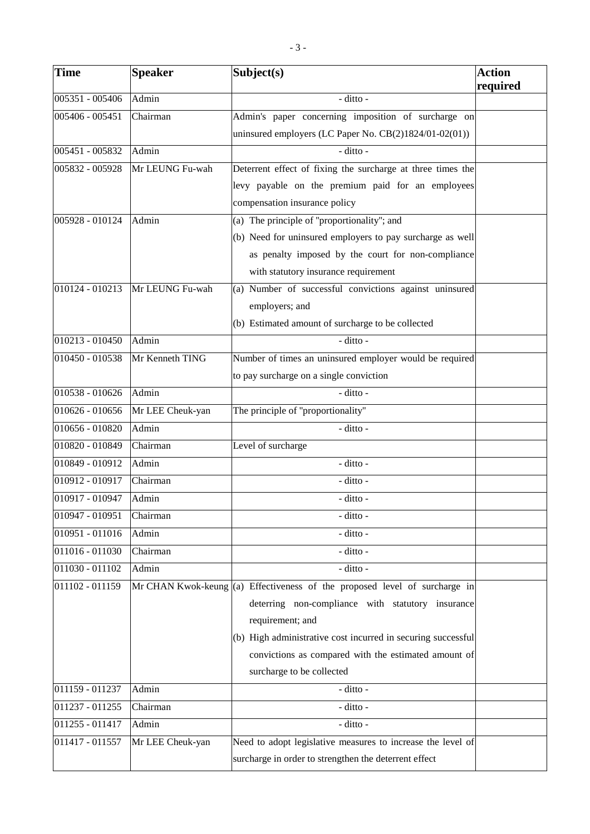| <b>Time</b>     | <b>Speaker</b>   | Subject(s)                                                                    | <b>Action</b><br>required |
|-----------------|------------------|-------------------------------------------------------------------------------|---------------------------|
| 005351 - 005406 | Admin            | - ditto -                                                                     |                           |
| 005406 - 005451 | Chairman         | Admin's paper concerning imposition of surcharge on                           |                           |
|                 |                  | uninsured employers (LC Paper No. CB(2)1824/01-02(01))                        |                           |
| 005451 - 005832 | Admin            | - ditto -                                                                     |                           |
| 005832 - 005928 | Mr LEUNG Fu-wah  | Deterrent effect of fixing the surcharge at three times the                   |                           |
|                 |                  | levy payable on the premium paid for an employees                             |                           |
|                 |                  | compensation insurance policy                                                 |                           |
| 005928 - 010124 | Admin            | (a) The principle of "proportionality"; and                                   |                           |
|                 |                  | (b) Need for uninsured employers to pay surcharge as well                     |                           |
|                 |                  | as penalty imposed by the court for non-compliance                            |                           |
|                 |                  | with statutory insurance requirement                                          |                           |
| 010124 - 010213 | Mr LEUNG Fu-wah  | (a) Number of successful convictions against uninsured                        |                           |
|                 |                  | employers; and                                                                |                           |
|                 |                  | (b) Estimated amount of surcharge to be collected                             |                           |
| 010213 - 010450 | Admin            | - ditto -                                                                     |                           |
| 010450 - 010538 | Mr Kenneth TING  | Number of times an uninsured employer would be required                       |                           |
|                 |                  | to pay surcharge on a single conviction                                       |                           |
| 010538 - 010626 | Admin            | - ditto -                                                                     |                           |
| 010626 - 010656 | Mr LEE Cheuk-yan | The principle of "proportionality"                                            |                           |
| 010656 - 010820 | Admin            | - ditto -                                                                     |                           |
| 010820 - 010849 | Chairman         | Level of surcharge                                                            |                           |
| 010849 - 010912 | Admin            | - ditto -                                                                     |                           |
| 010912 - 010917 | Chairman         | - ditto -                                                                     |                           |
| 010917 - 010947 | Admin            | - ditto -                                                                     |                           |
| 010947 - 010951 | Chairman         | - ditto -                                                                     |                           |
| 010951 - 011016 | Admin            | - ditto -                                                                     |                           |
| 011016 - 011030 | Chairman         | - ditto -                                                                     |                           |
| 011030 - 011102 | Admin            | - ditto -                                                                     |                           |
| 011102 - 011159 |                  | Mr CHAN Kwok-keung $ (a)$ Effectiveness of the proposed level of surcharge in |                           |
|                 |                  | deterring non-compliance with statutory insurance                             |                           |
|                 |                  | requirement; and                                                              |                           |
|                 |                  | (b) High administrative cost incurred in securing successful                  |                           |
|                 |                  | convictions as compared with the estimated amount of                          |                           |
|                 |                  | surcharge to be collected                                                     |                           |
| 011159 - 011237 | Admin            | - ditto -                                                                     |                           |
| 011237 - 011255 | Chairman         | - ditto -                                                                     |                           |
| 011255 - 011417 | Admin            | - ditto -                                                                     |                           |
| 011417 - 011557 | Mr LEE Cheuk-yan | Need to adopt legislative measures to increase the level of                   |                           |
|                 |                  | surcharge in order to strengthen the deterrent effect                         |                           |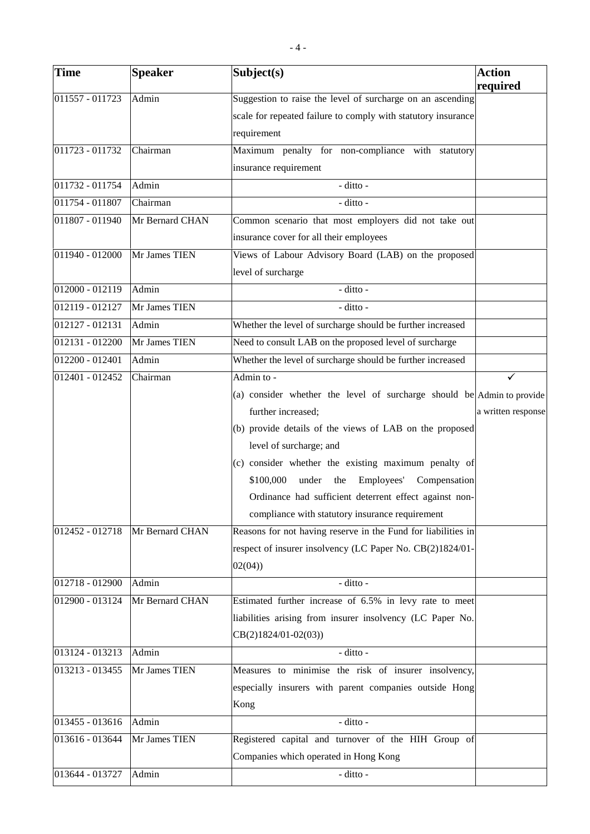| -4-               |                 |                                                                    |                           |
|-------------------|-----------------|--------------------------------------------------------------------|---------------------------|
| <b>Time</b>       | <b>Speaker</b>  | Subject(s)                                                         | <b>Action</b><br>required |
| $011557 - 011723$ | Admin           | Suggestion to raise the level of surcharge on an ascending         |                           |
|                   |                 | scale for repeated failure to comply with statutory insurance      |                           |
|                   |                 | requirement                                                        |                           |
| 011723 - 011732   | Chairman        | Maximum penalty for non-compliance with statutory                  |                           |
|                   |                 | insurance requirement                                              |                           |
| 011732 - 011754   | Admin           | $-$ ditto -                                                        |                           |
| 011754 - 011807   | Chairman        | $-$ ditto $-$                                                      |                           |
| 011807 - 011940   | Mr Bernard CHAN | Common scenario that most employers did not take out               |                           |
|                   |                 | insurance cover for all their employees                            |                           |
| $011940 - 012000$ | Mr James TIEN   | Views of Labour Advisory Board (LAB) on the proposed               |                           |
|                   |                 | level of surcharge                                                 |                           |
| 012000 - 012119   | Admin           | - ditto -                                                          |                           |
| 012119 - 012127   | Mr James TIEN   | - ditto -                                                          |                           |
| $012127 - 012131$ | Admin           | Whether the level of surcharge should be further increased         |                           |
| 012131 - 012200   | Mr James TIEN   | Need to consult LAB on the proposed level of surcharge             |                           |
| 012200 - 012401   | Admin           | Whether the level of surcharge should be further increased         |                           |
| 012401 - 012452   | Chairman        | Admin to -                                                         | ✓                         |
|                   |                 | (a) consider whether the level of surcharge should be Admin to pro |                           |
|                   |                 | further increased;                                                 | a written res             |
|                   |                 | $(h)$ provide details of the views of LAB on the proposed          |                           |

|                   |                 | (a) consider whether the level of surcharge should be Admin to provide |                    |
|-------------------|-----------------|------------------------------------------------------------------------|--------------------|
|                   |                 | further increased;                                                     | a written response |
|                   |                 | (b) provide details of the views of LAB on the proposed                |                    |
|                   |                 | level of surcharge; and                                                |                    |
|                   |                 | (c) consider whether the existing maximum penalty of                   |                    |
|                   |                 | \$100,000<br>under<br>Employees' Compensation<br>the                   |                    |
|                   |                 | Ordinance had sufficient deterrent effect against non-                 |                    |
|                   |                 | compliance with statutory insurance requirement                        |                    |
| $012452 - 012718$ | Mr Bernard CHAN | Reasons for not having reserve in the Fund for liabilities in          |                    |
|                   |                 | respect of insurer insolvency (LC Paper No. CB(2)1824/01-              |                    |
|                   |                 | 02(04)                                                                 |                    |
| 012718 - 012900   | Admin           | - ditto -                                                              |                    |
| 012900 - 013124   | Mr Bernard CHAN | Estimated further increase of 6.5% in levy rate to meet                |                    |
|                   |                 | liabilities arising from insurer insolvency (LC Paper No.              |                    |
|                   |                 | $CB(2)1824/01-02(03))$                                                 |                    |
| $013124 - 013213$ | Admin           | $-$ ditto $-$                                                          |                    |
| 013213 - 013455   | Mr James TIEN   | Measures to minimise the risk of insurer insolvency,                   |                    |
|                   |                 | especially insurers with parent companies outside Hong                 |                    |
|                   |                 | Kong                                                                   |                    |
| 013455 - 013616   | Admin           | - ditto -                                                              |                    |
| 013616 - 013644   | Mr James TIEN   | Registered capital and turnover of the HIH Group of                    |                    |
|                   |                 | Companies which operated in Hong Kong                                  |                    |
| $013644 - 013727$ | Admin           | - ditto -                                                              |                    |
|                   |                 |                                                                        |                    |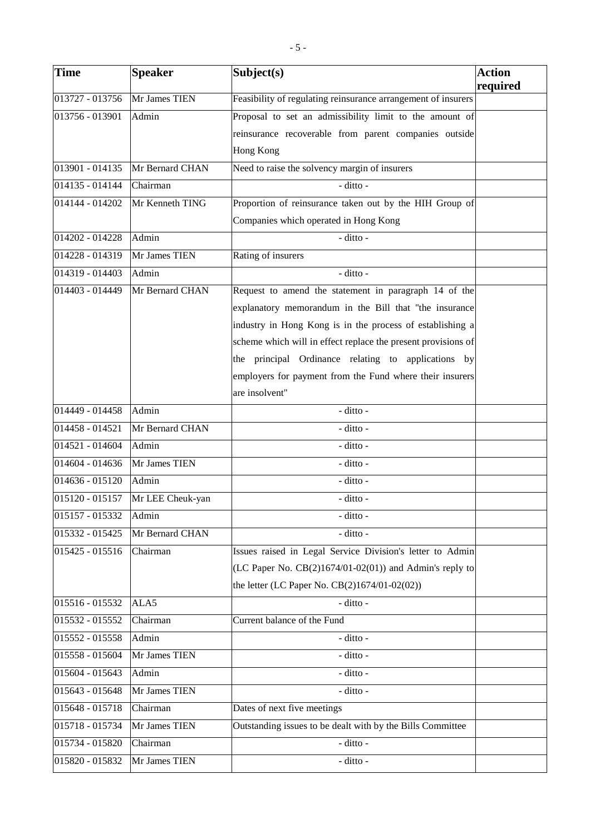| <b>Time</b>       | <b>Speaker</b>   | Subject(s)                                                    | <b>Action</b> |
|-------------------|------------------|---------------------------------------------------------------|---------------|
|                   |                  |                                                               | required      |
| 013727 - 013756   | Mr James TIEN    | Feasibility of regulating reinsurance arrangement of insurers |               |
| 013756 - 013901   | Admin            | Proposal to set an admissibility limit to the amount of       |               |
|                   |                  | reinsurance recoverable from parent companies outside         |               |
|                   |                  | <b>Hong Kong</b>                                              |               |
| 013901 - 014135   | Mr Bernard CHAN  | Need to raise the solvency margin of insurers                 |               |
| 014135 - 014144   | Chairman         | - ditto -                                                     |               |
| 014144 - 014202   | Mr Kenneth TING  | Proportion of reinsurance taken out by the HIH Group of       |               |
|                   |                  | Companies which operated in Hong Kong                         |               |
| 014202 - 014228   | Admin            | - ditto -                                                     |               |
| 014228 - 014319   | Mr James TIEN    | Rating of insurers                                            |               |
| 014319 - 014403   | Admin            | - ditto -                                                     |               |
| 014403 - 014449   | Mr Bernard CHAN  | Request to amend the statement in paragraph 14 of the         |               |
|                   |                  | explanatory memorandum in the Bill that "the insurance        |               |
|                   |                  | industry in Hong Kong is in the process of establishing a     |               |
|                   |                  | scheme which will in effect replace the present provisions of |               |
|                   |                  | the principal Ordinance relating to applications by           |               |
|                   |                  | employers for payment from the Fund where their insurers      |               |
|                   |                  | are insolvent"                                                |               |
| 014449 - 014458   | Admin            | - ditto -                                                     |               |
| 014458 - 014521   | Mr Bernard CHAN  | - ditto -                                                     |               |
| 014521 - 014604   | Admin            | $\overline{-\mathrm{d}t}$ tto -                               |               |
| 014604 - 014636   | Mr James TIEN    | - ditto -                                                     |               |
| 014636 - 015120   | Admin            | - ditto -                                                     |               |
| 015120 - 015157   | Mr LEE Cheuk-yan | - ditto -                                                     |               |
| 015157 - 015332   | Admin            | - ditto -                                                     |               |
| 015332 - 015425   | Mr Bernard CHAN  | - ditto -                                                     |               |
| 015425 - 015516   | Chairman         | Issues raised in Legal Service Division's letter to Admin     |               |
|                   |                  | (LC Paper No. $CB(2)1674/01-02(01)$ ) and Admin's reply to    |               |
|                   |                  | the letter (LC Paper No. CB(2)1674/01-02(02))                 |               |
| 015516 - 015532   | ALA5             | - ditto -                                                     |               |
| 015532 - 015552   | Chairman         | Current balance of the Fund                                   |               |
| 015552 - 015558   | Admin            | - ditto -                                                     |               |
| 015558 - 015604   | Mr James TIEN    | - ditto -                                                     |               |
| 015604 - 015643   | Admin            | - ditto -                                                     |               |
| 015643 - 015648   | Mr James TIEN    | - ditto -                                                     |               |
| 015648 - 015718   | Chairman         | Dates of next five meetings                                   |               |
| 015718 - 015734   | Mr James TIEN    | Outstanding issues to be dealt with by the Bills Committee    |               |
| $015734 - 015820$ | Chairman         | - ditto -                                                     |               |
| 015820 - 015832   | Mr James TIEN    | - ditto -                                                     |               |